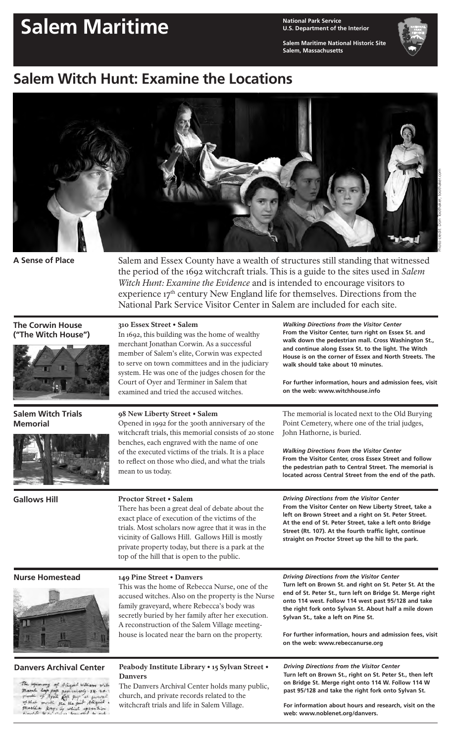# Salem Maritime **Maritime National Park Service**

**U.S. Department of the Interior**

**Salem Maritime National Historic Site Salem, Massachusetts**

*Walking Directions from the Visitor Center* **From the Visitor Center, turn right on Essex St. and walk down the pedestrian mall. Cross Washington St., and continue along Essex St. to the light. The Witch House is on the corner of Essex and North Streets. The** 

**For further information, hours and admission fees, visit** 

The memorial is located next to the Old Burying Point Cemetery, where one of the trial judges,

**From the Visitor Center, cross Essex Street and follow the pedestrian path to Central Street. The memorial is located across Central Street from the end of the path.**

**From the Visitor Center on New Liberty Street, take a left on Brown Street and a right on St. Peter Street. At the end of St. Peter Street, take a left onto Bridge Street (Rt. 107). At the fourth traffic light, continue straight on Proctor Street up the hill to the park.**

**walk should take about 10 minutes.** 

**on the web: www.witchhouse.info**

*Walking Directions from the Visitor Center*

*Driving Directions from the Visitor Center*

John Hathorne, is buried.



## **Salem Witch Hunt: Examine the Locations**



**A Sense of Place**

Salem and Essex County have a wealth of structures still standing that witnessed the period of the 1692 witchcraft trials. This is a guide to the sites used in *Salem Witch Hunt: Examine the Evidence* and is intended to encourage visitors to experience  $17<sup>th</sup>$  century New England life for themselves. Directions from the National Park Service Visitor Center in Salem are included for each site.

#### **The Corwin House ("The Witch House")**



#### **Salem Witch Trials Memorial**



**Gallows Hill**

### 98 New Liberty Street • Salem

310 Essex Street • Salem

Opened in 1992 for the 300th anniversary of the witchcraft trials, this memorial consists of 20 stone benches, each engraved with the name of one of the executed victims of the trials. It is a place to reflect on those who died, and what the trials mean to us today.

In 1692, this building was the home of wealthy merchant Jonathan Corwin. As a successful member of Salem's elite, Corwin was expected to serve on town committees and in the judiciary system. He was one of the judges chosen for the Court of Oyer and Terminer in Salem that examined and tried the accused witches.

#### Proctor Street • Salem

There has been a great deal of debate about the exact place of execution of the victims of the trials. Most scholars now agree that it was in the vicinity of Gallows Hill. Gallows Hill is mostly private property today, but there is a park at the top of the hill that is open to the public.

### **Nurse Homestead** 149 Pine Street • Danvers



family graveyard, where Rebecca's body was secretly buried by her family after her execution. A reconstruction of the Salem Village meetinghouse is located near the barn on the property.

This was the home of Rebecca Nurse, one of the accused witches. Also on the property is the Nurse *Driving Directions from the Visitor Center* **Turn left on Brown St. and right on St. Peter St. At the end of St. Peter St., turn left on Bridge St. Merge right onto 114 west. Follow 114 west past 95/128 and take the right fork onto Sylvan St. About half a mile down Sylvan St., take a left on Pine St.**

**For further information, hours and admission fees, visit on the web: www.rebeccanurse.org**

*Driving Directions from the Visitor Center* **Turn left on Brown St., right on St. Peter St., then left on Bridge St. Merge right onto 114 W. Follow 114 W past 95/128 and take the right fork onto Sylvan St.**

a<br>C Cop poft particularly 1914-20.<br>C Cop poft particularly 1914-20.<br>C medic for the pub Aligaid v<br>Cha Rony, by which appointern March & of that martha korry, by which apparation

#### **Danvers Archival Center** Peabody Institute Library • 15 Sylvan Street • Danvers

The Danvers Archival Center holds many public, church, and private records related to the witchcraft trials and life in Salem Village.

**For information about hours and research, visit on the web: www.noblenet.org/danvers.**